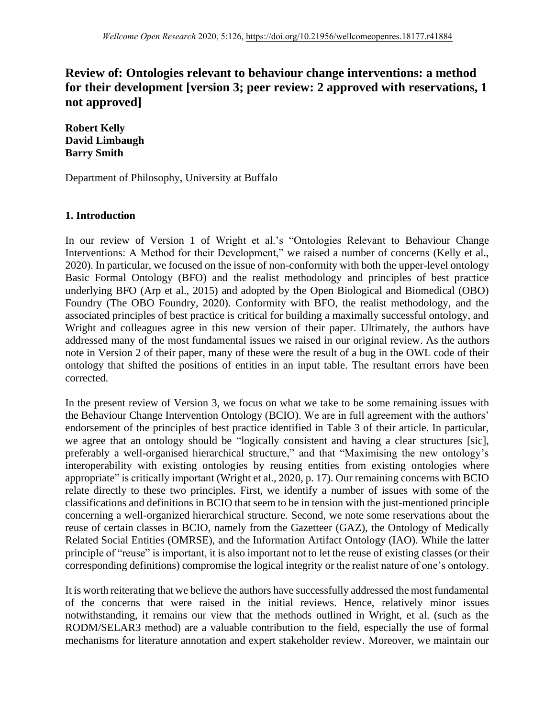# **Review of: Ontologies relevant to behaviour change interventions: a method for their development [version 3; peer review: 2 approved with reservations, 1 not approved]**

**Robert Kelly David Limbaugh Barry Smith** 

Department of Philosophy, University at Buffalo

### **1. Introduction**

In our review of Version 1 of Wright et al.'s "Ontologies Relevant to Behaviour Change Interventions: A Method for their Development," we raised a number of concerns (Kelly et al., 2020). In particular, we focused on the issue of non-conformity with both the upper-level ontology Basic Formal Ontology (BFO) and the realist methodology and principles of best practice underlying BFO (Arp et al., 2015) and adopted by the Open Biological and Biomedical (OBO) Foundry (The OBO Foundry, 2020). Conformity with BFO, the realist methodology, and the associated principles of best practice is critical for building a maximally successful ontology, and Wright and colleagues agree in this new version of their paper. Ultimately, the authors have addressed many of the most fundamental issues we raised in our original review. As the authors note in Version 2 of their paper, many of these were the result of a bug in the OWL code of their ontology that shifted the positions of entities in an input table. The resultant errors have been corrected.

In the present review of Version 3, we focus on what we take to be some remaining issues with the Behaviour Change Intervention Ontology (BCIO). We are in full agreement with the authors' endorsement of the principles of best practice identified in Table 3 of their article. In particular, we agree that an ontology should be "logically consistent and having a clear structures [sic], preferably a well-organised hierarchical structure," and that "Maximising the new ontology's interoperability with existing ontologies by reusing entities from existing ontologies where appropriate" is critically important (Wright et al., 2020, p. 17). Our remaining concerns with BCIO relate directly to these two principles. First, we identify a number of issues with some of the classifications and definitions in BCIO that seem to be in tension with the just-mentioned principle concerning a well-organized hierarchical structure. Second, we note some reservations about the reuse of certain classes in BCIO, namely from the Gazetteer (GAZ), the Ontology of Medically Related Social Entities (OMRSE), and the Information Artifact Ontology (IAO). While the latter principle of "reuse" is important, it is also important not to let the reuse of existing classes (or their corresponding definitions) compromise the logical integrity or the realist nature of one's ontology.

It is worth reiterating that we believe the authors have successfully addressed the most fundamental of the concerns that were raised in the initial reviews. Hence, relatively minor issues notwithstanding, it remains our view that the methods outlined in Wright, et al. (such as the RODM/SELAR3 method) are a valuable contribution to the field, especially the use of formal mechanisms for literature annotation and expert stakeholder review. Moreover, we maintain our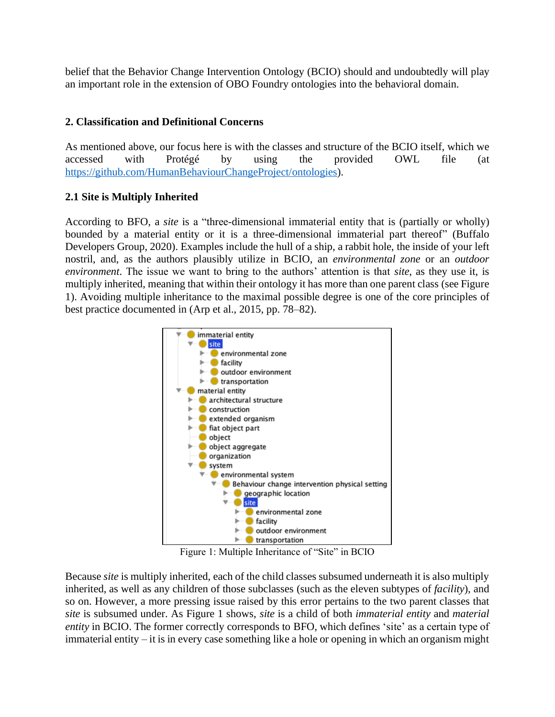belief that the Behavior Change Intervention Ontology (BCIO) should and undoubtedly will play an important role in the extension of OBO Foundry ontologies into the behavioral domain.

### **2. Classification and Definitional Concerns**

As mentioned above, our focus here is with the classes and structure of the BCIO itself, which we accessed with Protégé by using the provided OWL file (at [https://github.com/HumanBehaviourChangeProject/ontologies\)](https://github.com/HumanBehaviourChangeProject/ontologies).

# **2.1 Site is Multiply Inherited**

According to BFO, a *site* is a "three-dimensional immaterial entity that is (partially or wholly) bounded by a material entity or it is a three-dimensional immaterial part thereof" (Buffalo Developers Group, 2020). Examples include the hull of a ship, a rabbit hole, the inside of your left nostril, and, as the authors plausibly utilize in BCIO, an *environmental zone* or an *outdoor environment*. The issue we want to bring to the authors' attention is that *site*, as they use it, is multiply inherited, meaning that within their ontology it has more than one parent class (see Figure 1). Avoiding multiple inheritance to the maximal possible degree is one of the core principles of best practice documented in (Arp et al., 2015, pp. 78–82).



Figure 1: Multiple Inheritance of "Site" in BCIO

Because *site* is multiply inherited, each of the child classes subsumed underneath it is also multiply inherited, as well as any children of those subclasses (such as the eleven subtypes of *facility*), and so on. However, a more pressing issue raised by this error pertains to the two parent classes that *site* is subsumed under. As Figure 1 shows, *site* is a child of both *immaterial entity* and *material entity* in BCIO. The former correctly corresponds to BFO, which defines 'site' as a certain type of immaterial entity – it is in every case something like a hole or opening in which an organism might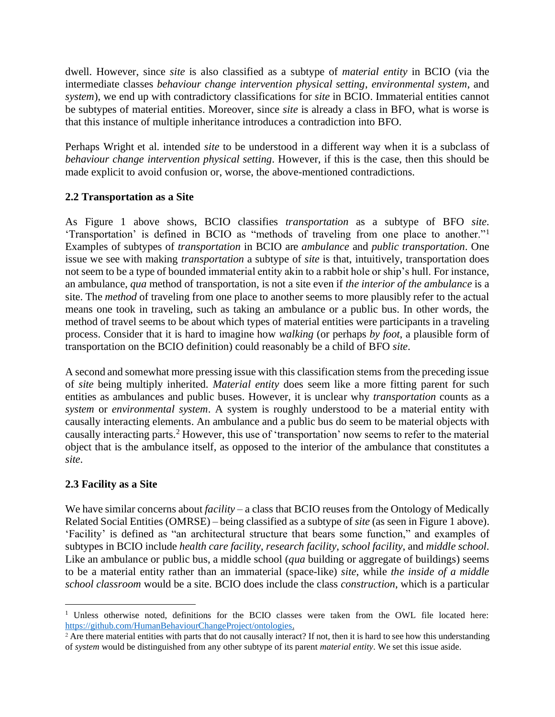dwell. However, since *site* is also classified as a subtype of *material entity* in BCIO (via the intermediate classes *behaviour change intervention physical setting*, *environmental system*, and *system*), we end up with contradictory classifications for *site* in BCIO. Immaterial entities cannot be subtypes of material entities. Moreover, since *site* is already a class in BFO, what is worse is that this instance of multiple inheritance introduces a contradiction into BFO.

Perhaps Wright et al. intended *site* to be understood in a different way when it is a subclass of *behaviour change intervention physical setting*. However, if this is the case, then this should be made explicit to avoid confusion or, worse, the above-mentioned contradictions.

# **2.2 Transportation as a Site**

As Figure 1 above shows, BCIO classifies *transportation* as a subtype of BFO *site*. 'Transportation' is defined in BCIO as "methods of traveling from one place to another."<sup>1</sup> Examples of subtypes of *transportation* in BCIO are *ambulance* and *public transportation*. One issue we see with making *transportation* a subtype of *site* is that, intuitively, transportation does not seem to be a type of bounded immaterial entity akin to a rabbit hole or ship's hull. For instance, an ambulance, *qua* method of transportation, is not a site even if *the interior of the ambulance* is a site. The *method* of traveling from one place to another seems to more plausibly refer to the actual means one took in traveling, such as taking an ambulance or a public bus. In other words, the method of travel seems to be about which types of material entities were participants in a traveling process. Consider that it is hard to imagine how *walking* (or perhaps *by foot*, a plausible form of transportation on the BCIO definition) could reasonably be a child of BFO *site*.

A second and somewhat more pressing issue with this classification stems from the preceding issue of *site* being multiply inherited. *Material entity* does seem like a more fitting parent for such entities as ambulances and public buses. However, it is unclear why *transportation* counts as a *system* or *environmental system*. A system is roughly understood to be a material entity with causally interacting elements. An ambulance and a public bus do seem to be material objects with causally interacting parts. <sup>2</sup> However, this use of 'transportation' now seems to refer to the material object that is the ambulance itself, as opposed to the interior of the ambulance that constitutes a *site*.

### **2.3 Facility as a Site**

We have similar concerns about *facility* – a class that BCIO reuses from the Ontology of Medically Related Social Entities (OMRSE) – being classified as a subtype of *site* (as seen in Figure 1 above). 'Facility' is defined as "an architectural structure that bears some function," and examples of subtypes in BCIO include *health care facility*, *research facility*, *school facility*, and *middle school*. Like an ambulance or public bus, a middle school (*qua* building or aggregate of buildings) seems to be a material entity rather than an immaterial (space-like) *site*, while *the inside of a middle school classroom* would be a site. BCIO does include the class *construction*, which is a particular

<sup>&</sup>lt;sup>1</sup> Unless otherwise noted, definitions for the BCIO classes were taken from the OWL file located here: [https://github.com/HumanBehaviourChangeProject/ontologies.](https://github.com/HumanBehaviourChangeProject/ontologies)

<sup>&</sup>lt;sup>2</sup> Are there material entities with parts that do not causally interact? If not, then it is hard to see how this understanding of *system* would be distinguished from any other subtype of its parent *material entity*. We set this issue aside.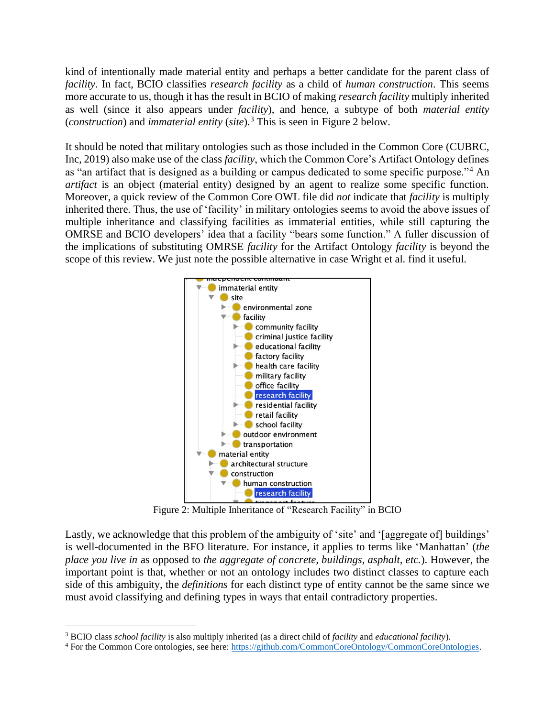kind of intentionally made material entity and perhaps a better candidate for the parent class of *facility*. In fact, BCIO classifies *research facility* as a child of *human construction*. This seems more accurate to us, though it has the result in BCIO of making *research facility* multiply inherited as well (since it also appears under *facility*), and hence, a subtype of both *material entity*  (*construction*) and *immaterial entity* (*site*).<sup>3</sup> This is seen in Figure 2 below.

It should be noted that military ontologies such as those included in the Common Core (CUBRC, Inc, 2019) also make use of the class *facility*, which the Common Core's Artifact Ontology defines as "an artifact that is designed as a building or campus dedicated to some specific purpose."<sup>4</sup> An *artifact* is an object (material entity) designed by an agent to realize some specific function. Moreover, a quick review of the Common Core OWL file did *not* indicate that *facility* is multiply inherited there. Thus, the use of 'facility' in military ontologies seems to avoid the above issues of multiple inheritance and classifying facilities as immaterial entities, while still capturing the OMRSE and BCIO developers' idea that a facility "bears some function." A fuller discussion of the implications of substituting OMRSE *facility* for the Artifact Ontology *facility* is beyond the scope of this review. We just note the possible alternative in case Wright et al. find it useful.



Figure 2: Multiple Inheritance of "Research Facility" in BCIO

Lastly, we acknowledge that this problem of the ambiguity of 'site' and '[aggregate of] buildings' is well-documented in the BFO literature. For instance, it applies to terms like 'Manhattan' (*the place you live in* as opposed to *the aggregate of concrete, buildings, asphalt, etc.*). However, the important point is that, whether or not an ontology includes two distinct classes to capture each side of this ambiguity, the *definitions* for each distinct type of entity cannot be the same since we must avoid classifying and defining types in ways that entail contradictory properties.

<sup>3</sup> BCIO class *school facility* is also multiply inherited (as a direct child of *facility* and *educational facility*).

<sup>4</sup> For the Common Core ontologies, see here: [https://github.com/CommonCoreOntology/CommonCoreOntologies.](https://github.com/CommonCoreOntology/CommonCoreOntologies)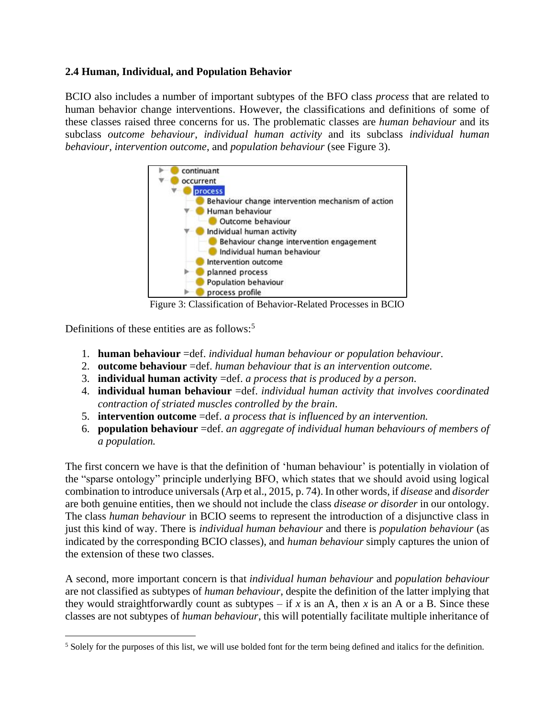### **2.4 Human, Individual, and Population Behavior**

BCIO also includes a number of important subtypes of the BFO class *process* that are related to human behavior change interventions. However, the classifications and definitions of some of these classes raised three concerns for us. The problematic classes are *human behaviour* and its subclass *outcome behaviour*, *individual human activity* and its subclass *individual human behaviour*, *intervention outcome*, and *population behaviour* (see Figure 3).



Figure 3: Classification of Behavior-Related Processes in BCIO

Definitions of these entities are as follows: 5

- 1. **human behaviour** =def. *individual human behaviour or population behaviour.*
- 2. **outcome behaviour** =def. *human behaviour that is an intervention outcome.*
- 3. **individual human activity** =def. *a process that is produced by a person.*
- 4. **individual human behaviour** =def. *individual human activity that involves coordinated contraction of striated muscles controlled by the brain.*
- 5. **intervention outcome** =def. *a process that is influenced by an intervention.*
- 6. **population behaviour** =def. *an aggregate of individual human behaviours of members of a population.*

The first concern we have is that the definition of 'human behaviour' is potentially in violation of the "sparse ontology" principle underlying BFO, which states that we should avoid using logical combination to introduce universals (Arp et al., 2015, p. 74). In other words, if *disease* and *disorder* are both genuine entities, then we should not include the class *disease or disorder* in our ontology. The class *human behaviour* in BCIO seems to represent the introduction of a disjunctive class in just this kind of way. There is *individual human behaviour* and there is *population behaviour* (as indicated by the corresponding BCIO classes), and *human behaviour* simply captures the union of the extension of these two classes.

A second, more important concern is that *individual human behaviour* and *population behaviour* are not classified as subtypes of *human behaviour*, despite the definition of the latter implying that they would straightforwardly count as subtypes – if  $x$  is an  $A$ , then  $x$  is an  $A$  or a  $B$ . Since these classes are not subtypes of *human behaviour*, this will potentially facilitate multiple inheritance of

 $<sup>5</sup>$  Solely for the purposes of this list, we will use bolded font for the term being defined and italics for the definition.</sup>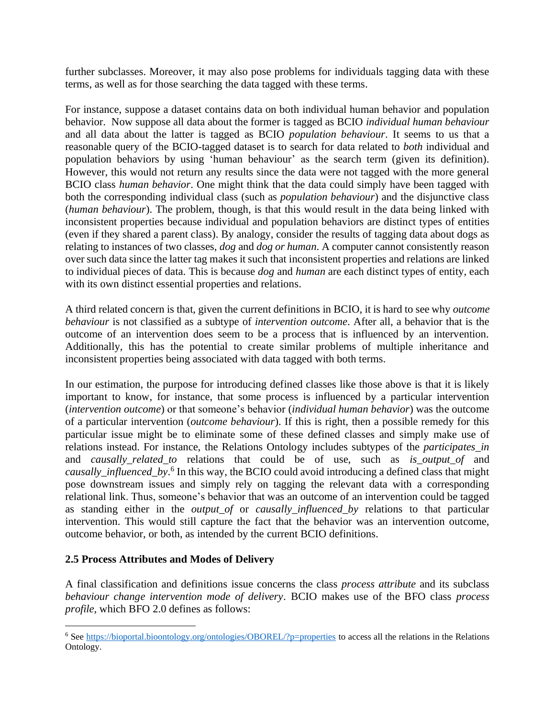further subclasses. Moreover, it may also pose problems for individuals tagging data with these terms, as well as for those searching the data tagged with these terms.

For instance, suppose a dataset contains data on both individual human behavior and population behavior. Now suppose all data about the former is tagged as BCIO *individual human behaviour* and all data about the latter is tagged as BCIO *population behaviour*. It seems to us that a reasonable query of the BCIO-tagged dataset is to search for data related to *both* individual and population behaviors by using 'human behaviour' as the search term (given its definition). However, this would not return any results since the data were not tagged with the more general BCIO class *human behavior*. One might think that the data could simply have been tagged with both the corresponding individual class (such as *population behaviour*) and the disjunctive class (*human behaviour*). The problem, though, is that this would result in the data being linked with inconsistent properties because individual and population behaviors are distinct types of entities (even if they shared a parent class). By analogy, consider the results of tagging data about dogs as relating to instances of two classes, *dog* and *dog or human*. A computer cannot consistently reason over such data since the latter tag makes it such that inconsistent properties and relations are linked to individual pieces of data. This is because *dog* and *human* are each distinct types of entity, each with its own distinct essential properties and relations.

A third related concern is that, given the current definitions in BCIO, it is hard to see why *outcome behaviour* is not classified as a subtype of *intervention outcome*. After all, a behavior that is the outcome of an intervention does seem to be a process that is influenced by an intervention. Additionally, this has the potential to create similar problems of multiple inheritance and inconsistent properties being associated with data tagged with both terms.

In our estimation, the purpose for introducing defined classes like those above is that it is likely important to know, for instance, that some process is influenced by a particular intervention (*intervention outcome*) or that someone's behavior (*individual human behavior*) was the outcome of a particular intervention (*outcome behaviour*). If this is right, then a possible remedy for this particular issue might be to eliminate some of these defined classes and simply make use of relations instead. For instance, the Relations Ontology includes subtypes of the *participates\_in* and *causally\_related\_to* relations that could be of use, such as *is\_output\_of* and *causally\_influenced\_by*. 6 In this way, the BCIO could avoid introducing a defined class that might pose downstream issues and simply rely on tagging the relevant data with a corresponding relational link. Thus, someone's behavior that was an outcome of an intervention could be tagged as standing either in the *output\_of* or *causally\_influenced\_by* relations to that particular intervention. This would still capture the fact that the behavior was an intervention outcome, outcome behavior, or both, as intended by the current BCIO definitions.

#### **2.5 Process Attributes and Modes of Delivery**

A final classification and definitions issue concerns the class *process attribute* and its subclass *behaviour change intervention mode of delivery*. BCIO makes use of the BFO class *process profile*, which BFO 2.0 defines as follows:

<sup>&</sup>lt;sup>6</sup> See<https://bioportal.bioontology.org/ontologies/OBOREL/?p=properties> to access all the relations in the Relations Ontology.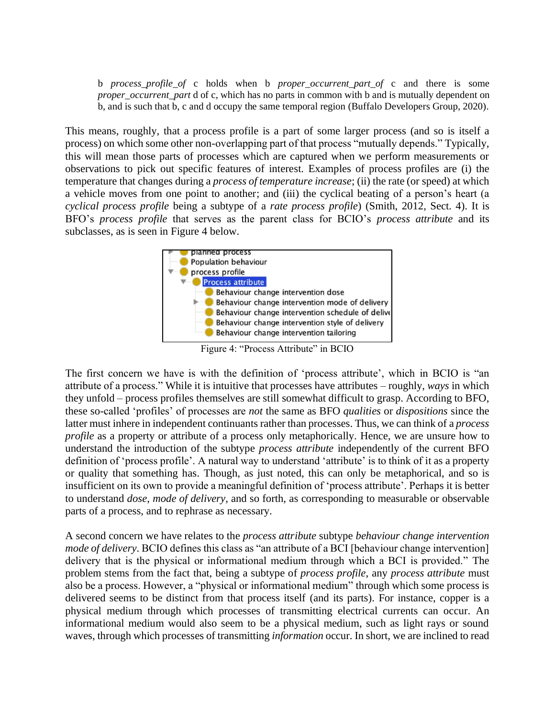b *process\_profile\_of* c holds when b *proper\_occurrent\_part\_of* c and there is some *proper\_occurrent\_part* d of c, which has no parts in common with b and is mutually dependent on b, and is such that b, c and d occupy the same temporal region (Buffalo Developers Group, 2020).

This means, roughly, that a process profile is a part of some larger process (and so is itself a process) on which some other non-overlapping part of that process "mutually depends." Typically, this will mean those parts of processes which are captured when we perform measurements or observations to pick out specific features of interest. Examples of process profiles are (i) the temperature that changes during a *process of temperature increase*; (ii) the rate (or speed) at which a vehicle moves from one point to another; and (iii) the cyclical beating of a person's heart (a *cyclical process profile* being a subtype of a *rate process profile*) (Smith, 2012, Sect. 4). It is BFO's *process profile* that serves as the parent class for BCIO's *process attribute* and its subclasses, as is seen in Figure 4 below.



Figure 4: "Process Attribute" in BCIO

The first concern we have is with the definition of 'process attribute', which in BCIO is "an attribute of a process." While it is intuitive that processes have attributes – roughly, *ways* in which they unfold – process profiles themselves are still somewhat difficult to grasp. According to BFO, these so-called 'profiles' of processes are *not* the same as BFO *qualities* or *dispositions* since the latter must inhere in independent continuants rather than processes. Thus, we can think of a *process profile* as a property or attribute of a process only metaphorically. Hence, we are unsure how to understand the introduction of the subtype *process attribute* independently of the current BFO definition of 'process profile'. A natural way to understand 'attribute' is to think of it as a property or quality that something has. Though, as just noted, this can only be metaphorical, and so is insufficient on its own to provide a meaningful definition of 'process attribute'. Perhaps it is better to understand *dose*, *mode of delivery*, and so forth, as corresponding to measurable or observable parts of a process, and to rephrase as necessary.

A second concern we have relates to the *process attribute* subtype *behaviour change intervention mode of delivery*. BCIO defines this class as "an attribute of a BCI [behaviour change intervention] delivery that is the physical or informational medium through which a BCI is provided." The problem stems from the fact that, being a subtype of *process profile*, any *process attribute* must also be a process. However, a "physical or informational medium" through which some process is delivered seems to be distinct from that process itself (and its parts). For instance, copper is a physical medium through which processes of transmitting electrical currents can occur. An informational medium would also seem to be a physical medium, such as light rays or sound waves, through which processes of transmitting *information* occur. In short, we are inclined to read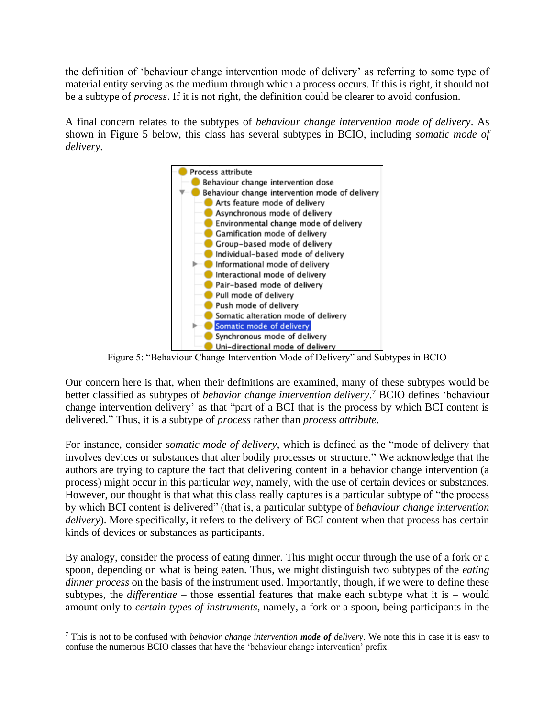the definition of 'behaviour change intervention mode of delivery' as referring to some type of material entity serving as the medium through which a process occurs. If this is right, it should not be a subtype of *process*. If it is not right, the definition could be clearer to avoid confusion.

A final concern relates to the subtypes of *behaviour change intervention mode of delivery*. As shown in Figure 5 below, this class has several subtypes in BCIO, including *somatic mode of delivery*.



Figure 5: "Behaviour Change Intervention Mode of Delivery" and Subtypes in BCIO

Our concern here is that, when their definitions are examined, many of these subtypes would be better classified as subtypes of *behavior change intervention delivery*. <sup>7</sup> BCIO defines 'behaviour change intervention delivery' as that "part of a BCI that is the process by which BCI content is delivered." Thus, it is a subtype of *process* rather than *process attribute*.

For instance, consider *somatic mode of delivery*, which is defined as the "mode of delivery that involves devices or substances that alter bodily processes or structure." We acknowledge that the authors are trying to capture the fact that delivering content in a behavior change intervention (a process) might occur in this particular *way*, namely, with the use of certain devices or substances. However, our thought is that what this class really captures is a particular subtype of "the process by which BCI content is delivered" (that is, a particular subtype of *behaviour change intervention delivery*). More specifically, it refers to the delivery of BCI content when that process has certain kinds of devices or substances as participants.

By analogy, consider the process of eating dinner. This might occur through the use of a fork or a spoon, depending on what is being eaten. Thus, we might distinguish two subtypes of the *eating dinner process* on the basis of the instrument used. Importantly, though, if we were to define these subtypes, the *differentiae* – those essential features that make each subtype what it is – would amount only to *certain types of instruments*, namely, a fork or a spoon, being participants in the

<sup>7</sup> This is not to be confused with *behavior change intervention mode of delivery*. We note this in case it is easy to confuse the numerous BCIO classes that have the 'behaviour change intervention' prefix.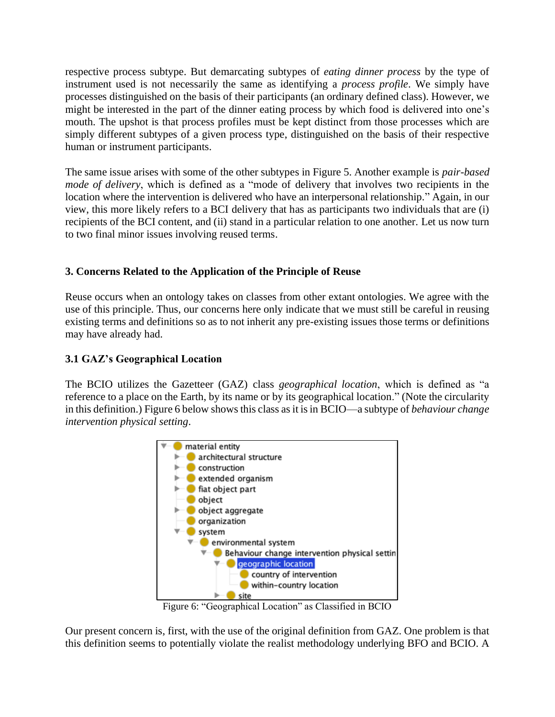respective process subtype. But demarcating subtypes of *eating dinner process* by the type of instrument used is not necessarily the same as identifying a *process profile*. We simply have processes distinguished on the basis of their participants (an ordinary defined class). However, we might be interested in the part of the dinner eating process by which food is delivered into one's mouth. The upshot is that process profiles must be kept distinct from those processes which are simply different subtypes of a given process type, distinguished on the basis of their respective human or instrument participants.

The same issue arises with some of the other subtypes in Figure 5. Another example is *pair-based mode of delivery*, which is defined as a "mode of delivery that involves two recipients in the location where the intervention is delivered who have an interpersonal relationship." Again, in our view, this more likely refers to a BCI delivery that has as participants two individuals that are (i) recipients of the BCI content, and (ii) stand in a particular relation to one another. Let us now turn to two final minor issues involving reused terms.

# **3. Concerns Related to the Application of the Principle of Reuse**

Reuse occurs when an ontology takes on classes from other extant ontologies. We agree with the use of this principle. Thus, our concerns here only indicate that we must still be careful in reusing existing terms and definitions so as to not inherit any pre-existing issues those terms or definitions may have already had.

# **3.1 GAZ's Geographical Location**

The BCIO utilizes the Gazetteer (GAZ) class *geographical location*, which is defined as "a reference to a place on the Earth, by its name or by its geographical location." (Note the circularity in this definition.) Figure 6 below shows this class as it is in BCIO—a subtype of *behaviour change intervention physical setting*.



Figure 6: "Geographical Location" as Classified in BCIO

Our present concern is, first, with the use of the original definition from GAZ. One problem is that this definition seems to potentially violate the realist methodology underlying BFO and BCIO. A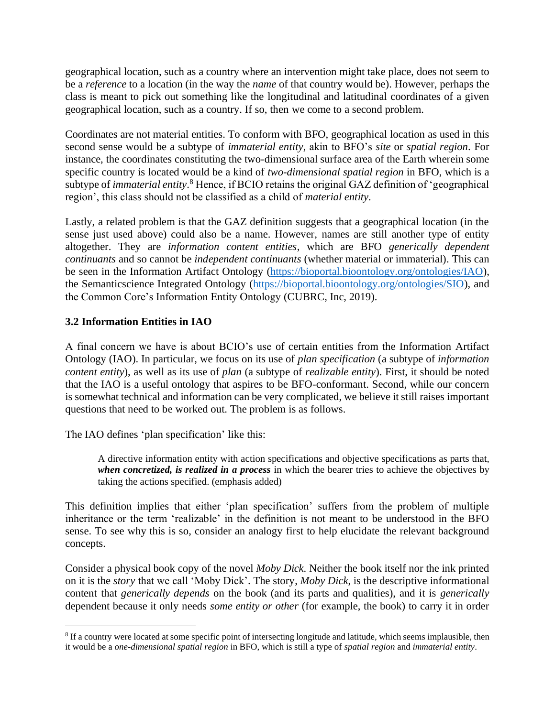geographical location, such as a country where an intervention might take place, does not seem to be a *reference* to a location (in the way the *name* of that country would be). However, perhaps the class is meant to pick out something like the longitudinal and latitudinal coordinates of a given geographical location, such as a country. If so, then we come to a second problem.

Coordinates are not material entities. To conform with BFO, geographical location as used in this second sense would be a subtype of *immaterial entity*, akin to BFO's *site* or *spatial region*. For instance, the coordinates constituting the two-dimensional surface area of the Earth wherein some specific country is located would be a kind of *two-dimensional spatial region* in BFO, which is a subtype of *immaterial entity*. <sup>8</sup> Hence, if BCIO retains the original GAZ definition of 'geographical region', this class should not be classified as a child of *material entity*.

Lastly, a related problem is that the GAZ definition suggests that a geographical location (in the sense just used above) could also be a name. However, names are still another type of entity altogether. They are *information content entities*, which are BFO *generically dependent continuants* and so cannot be *independent continuants* (whether material or immaterial). This can be seen in the Information Artifact Ontology [\(https://bioportal.bioontology.org/ontologies/IAO\)](https://bioportal.bioontology.org/ontologies/IAO), the Semanticscience Integrated Ontology [\(https://bioportal.bioontology.org/ontologies/SIO\)](https://bioportal.bioontology.org/ontologies/SIO), and the Common Core's Information Entity Ontology (CUBRC, Inc, 2019).

# **3.2 Information Entities in IAO**

A final concern we have is about BCIO's use of certain entities from the Information Artifact Ontology (IAO). In particular, we focus on its use of *plan specification* (a subtype of *information content entity*), as well as its use of *plan* (a subtype of *realizable entity*). First, it should be noted that the IAO is a useful ontology that aspires to be BFO-conformant. Second, while our concern is somewhat technical and information can be very complicated, we believe it still raises important questions that need to be worked out. The problem is as follows.

The IAO defines 'plan specification' like this:

A directive information entity with action specifications and objective specifications as parts that, *when concretized, is realized in a process* in which the bearer tries to achieve the objectives by taking the actions specified. (emphasis added)

This definition implies that either 'plan specification' suffers from the problem of multiple inheritance or the term 'realizable' in the definition is not meant to be understood in the BFO sense. To see why this is so, consider an analogy first to help elucidate the relevant background concepts.

Consider a physical book copy of the novel *Moby Dick*. Neither the book itself nor the ink printed on it is the *story* that we call 'Moby Dick'. The story, *Moby Dick*, is the descriptive informational content that *generically depends* on the book (and its parts and qualities), and it is *generically*  dependent because it only needs *some entity or other* (for example, the book) to carry it in order

<sup>&</sup>lt;sup>8</sup> If a country were located at some specific point of intersecting longitude and latitude, which seems implausible, then it would be a *one-dimensional spatial region* in BFO, which is still a type of *spatial region* and *immaterial entity*.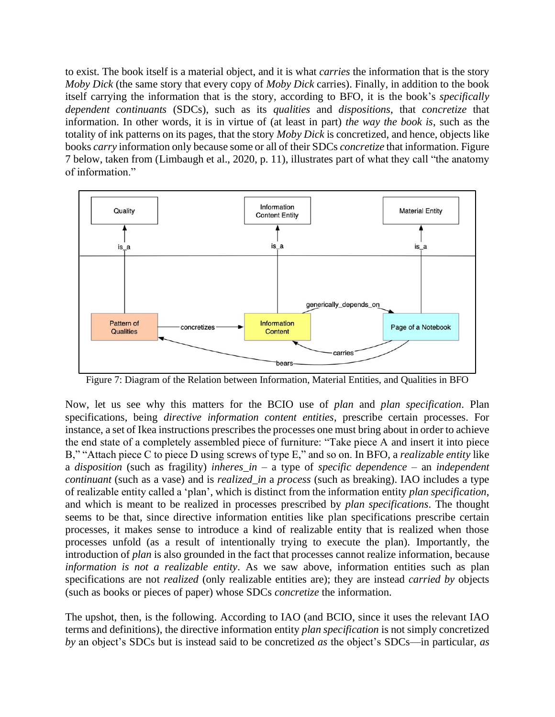to exist. The book itself is a material object, and it is what *carries* the information that is the story *Moby Dick* (the same story that every copy of *Moby Dick* carries). Finally, in addition to the book itself carrying the information that is the story, according to BFO, it is the book's *specifically dependent continuants* (SDCs), such as its *qualities* and *dispositions*, that *concretize* that information. In other words, it is in virtue of (at least in part) *the way the book is*, such as the totality of ink patterns on its pages, that the story *Moby Dick* is concretized, and hence, objects like books *carry* information only because some or all of their SDCs *concretize* that information. Figure 7 below, taken from (Limbaugh et al., 2020, p. 11), illustrates part of what they call "the anatomy of information."



Figure 7: Diagram of the Relation between Information, Material Entities, and Qualities in BFO

Now, let us see why this matters for the BCIO use of *plan* and *plan specification*. Plan specifications, being *directive information content entities*, prescribe certain processes. For instance, a set of Ikea instructions prescribes the processes one must bring about in order to achieve the end state of a completely assembled piece of furniture: "Take piece A and insert it into piece B," "Attach piece C to piece D using screws of type E," and so on. In BFO, a *realizable entity* like a *disposition* (such as fragility) *inheres\_in* – a type of *specific dependence* – an *independent continuant* (such as a vase) and is *realized\_in* a *process* (such as breaking). IAO includes a type of realizable entity called a 'plan', which is distinct from the information entity *plan specification*, and which is meant to be realized in processes prescribed by *plan specifications*. The thought seems to be that, since directive information entities like plan specifications prescribe certain processes, it makes sense to introduce a kind of realizable entity that is realized when those processes unfold (as a result of intentionally trying to execute the plan). Importantly, the introduction of *plan* is also grounded in the fact that processes cannot realize information, because *information is not a realizable entity*. As we saw above, information entities such as plan specifications are not *realized* (only realizable entities are); they are instead *carried by* objects (such as books or pieces of paper) whose SDCs *concretize* the information.

The upshot, then, is the following. According to IAO (and BCIO, since it uses the relevant IAO terms and definitions), the directive information entity *plan specification* is not simply concretized *by* an object's SDCs but is instead said to be concretized *as* the object's SDCs—in particular, *as*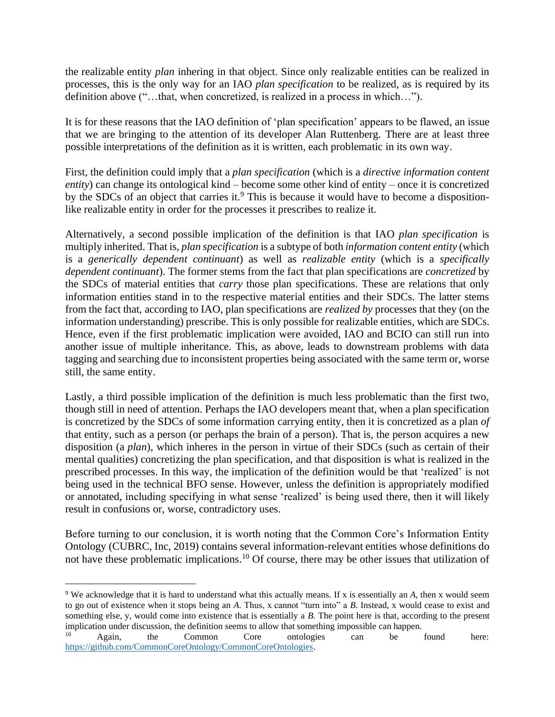the realizable entity *plan* inhering in that object. Since only realizable entities can be realized in processes, this is the only way for an IAO *plan specification* to be realized, as is required by its definition above ("…that, when concretized, is realized in a process in which…").

It is for these reasons that the IAO definition of 'plan specification' appears to be flawed, an issue that we are bringing to the attention of its developer Alan Ruttenberg. There are at least three possible interpretations of the definition as it is written, each problematic in its own way.

First, the definition could imply that a *plan specification* (which is a *directive information content entity*) can change its ontological kind – become some other kind of entity – once it is concretized by the SDCs of an object that carries it.<sup>9</sup> This is because it would have to become a dispositionlike realizable entity in order for the processes it prescribes to realize it.

Alternatively, a second possible implication of the definition is that IAO *plan specification* is multiply inherited. That is, *plan specification* is a subtype of both *information content entity* (which is a *generically dependent continuant*) as well as *realizable entity* (which is a *specifically dependent continuant*). The former stems from the fact that plan specifications are *concretized* by the SDCs of material entities that *carry* those plan specifications. These are relations that only information entities stand in to the respective material entities and their SDCs. The latter stems from the fact that, according to IAO, plan specifications are *realized by* processes that they (on the information understanding) prescribe. This is only possible for realizable entities, which are SDCs. Hence, even if the first problematic implication were avoided, IAO and BCIO can still run into another issue of multiple inheritance. This, as above, leads to downstream problems with data tagging and searching due to inconsistent properties being associated with the same term or, worse still, the same entity.

Lastly, a third possible implication of the definition is much less problematic than the first two, though still in need of attention. Perhaps the IAO developers meant that, when a plan specification is concretized by the SDCs of some information carrying entity, then it is concretized as a plan *of* that entity, such as a person (or perhaps the brain of a person). That is, the person acquires a new disposition (a *plan*), which inheres in the person in virtue of their SDCs (such as certain of their mental qualities) concretizing the plan specification, and that disposition is what is realized in the prescribed processes. In this way, the implication of the definition would be that 'realized' is not being used in the technical BFO sense. However, unless the definition is appropriately modified or annotated, including specifying in what sense 'realized' is being used there, then it will likely result in confusions or, worse, contradictory uses.

Before turning to our conclusion, it is worth noting that the Common Core's Information Entity Ontology (CUBRC, Inc, 2019) contains several information-relevant entities whose definitions do not have these problematic implications. <sup>10</sup> Of course, there may be other issues that utilization of

<sup>&</sup>lt;sup>9</sup> We acknowledge that it is hard to understand what this actually means. If x is essentially an *A*, then x would seem to go out of existence when it stops being an *A*. Thus, x cannot "turn into" a *B*. Instead, x would cease to exist and something else, y, would come into existence that is essentially a *B*. The point here is that, according to the present

implication under discussion, the definition seems to allow that something impossible can happen.<br><sup>10</sup> Again, the Common Core ontologies can be <sup>10</sup> Again, the Common Core ontologies can be found here: [https://github.com/CommonCoreOntology/CommonCoreOntologies.](https://github.com/CommonCoreOntology/CommonCoreOntologies)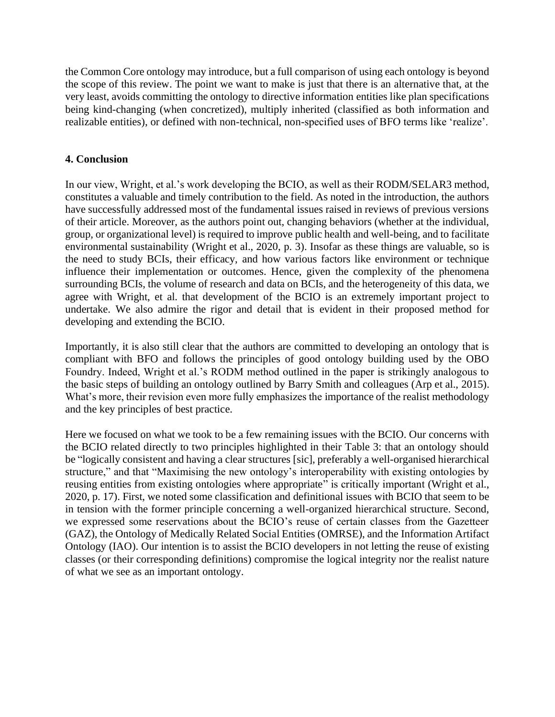the Common Core ontology may introduce, but a full comparison of using each ontology is beyond the scope of this review. The point we want to make is just that there is an alternative that, at the very least, avoids committing the ontology to directive information entities like plan specifications being kind-changing (when concretized), multiply inherited (classified as both information and realizable entities), or defined with non-technical, non-specified uses of BFO terms like 'realize'.

### **4. Conclusion**

In our view, Wright, et al.'s work developing the BCIO, as well as their RODM/SELAR3 method, constitutes a valuable and timely contribution to the field. As noted in the introduction, the authors have successfully addressed most of the fundamental issues raised in reviews of previous versions of their article. Moreover, as the authors point out, changing behaviors (whether at the individual, group, or organizational level) is required to improve public health and well-being, and to facilitate environmental sustainability (Wright et al., 2020, p. 3). Insofar as these things are valuable, so is the need to study BCIs, their efficacy, and how various factors like environment or technique influence their implementation or outcomes. Hence, given the complexity of the phenomena surrounding BCIs, the volume of research and data on BCIs, and the heterogeneity of this data, we agree with Wright, et al. that development of the BCIO is an extremely important project to undertake. We also admire the rigor and detail that is evident in their proposed method for developing and extending the BCIO.

Importantly, it is also still clear that the authors are committed to developing an ontology that is compliant with BFO and follows the principles of good ontology building used by the OBO Foundry. Indeed, Wright et al.'s RODM method outlined in the paper is strikingly analogous to the basic steps of building an ontology outlined by Barry Smith and colleagues (Arp et al., 2015). What's more, their revision even more fully emphasizes the importance of the realist methodology and the key principles of best practice.

Here we focused on what we took to be a few remaining issues with the BCIO. Our concerns with the BCIO related directly to two principles highlighted in their Table 3: that an ontology should be "logically consistent and having a clear structures [sic], preferably a well-organised hierarchical structure," and that "Maximising the new ontology's interoperability with existing ontologies by reusing entities from existing ontologies where appropriate" is critically important (Wright et al., 2020, p. 17). First, we noted some classification and definitional issues with BCIO that seem to be in tension with the former principle concerning a well-organized hierarchical structure. Second, we expressed some reservations about the BCIO's reuse of certain classes from the Gazetteer (GAZ), the Ontology of Medically Related Social Entities (OMRSE), and the Information Artifact Ontology (IAO). Our intention is to assist the BCIO developers in not letting the reuse of existing classes (or their corresponding definitions) compromise the logical integrity nor the realist nature of what we see as an important ontology.